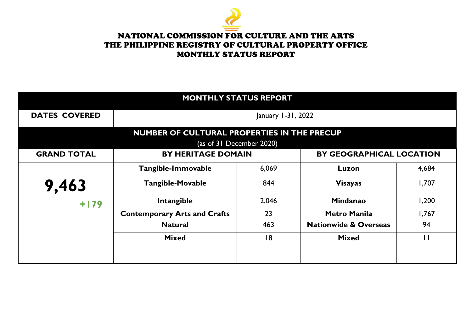

| <b>MONTHLY STATUS REPORT</b>                                                 |                                     |                                                              |                                  |              |  |
|------------------------------------------------------------------------------|-------------------------------------|--------------------------------------------------------------|----------------------------------|--------------|--|
| <b>DATES COVERED</b>                                                         | January 1-31, 2022                  |                                                              |                                  |              |  |
| NUMBER OF CULTURAL PROPERTIES IN THE PRECUP<br>(as of $31$ December $2020$ ) |                                     |                                                              |                                  |              |  |
| <b>GRAND TOTAL</b>                                                           |                                     | <b>BY GEOGRAPHICAL LOCATION</b><br><b>BY HERITAGE DOMAIN</b> |                                  |              |  |
|                                                                              | Tangible-Immovable                  | 6,069                                                        | Luzon                            | 4,684        |  |
| 9,463                                                                        | <b>Tangible-Movable</b>             | 844                                                          | <b>Visayas</b>                   | 1,707        |  |
| $+179$                                                                       | Intangible                          | 2,046                                                        | <b>Mindanao</b>                  | 1,200        |  |
|                                                                              | <b>Contemporary Arts and Crafts</b> | 23                                                           | <b>Metro Manila</b>              | 1,767        |  |
|                                                                              | <b>Natural</b>                      | 463                                                          | <b>Nationwide &amp; Overseas</b> | 94           |  |
|                                                                              | <b>Mixed</b>                        | 8                                                            | <b>Mixed</b>                     | $\mathsf{H}$ |  |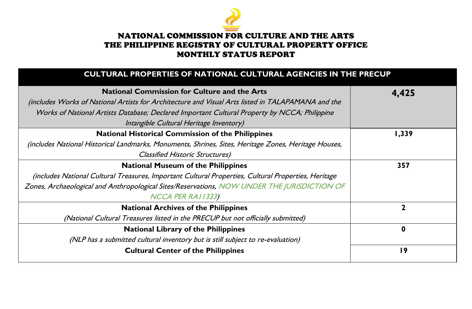

#### **CULTURAL PROPERTIES OF NATIONAL CULTURAL AGENCIES IN THE PRECUP**

| <b>National Commission for Culture and the Arts</b>                                                  | 4,425 |
|------------------------------------------------------------------------------------------------------|-------|
| includes Works of National Artists for Architecture and Visual Arts listed in TALAPAMANA and the     |       |
| Works of National Artists Database; Declared Important Cultural Property by NCCA; Philippine         |       |
| Intangible Cultural Heritage Inventory)                                                              |       |
| <b>National Historical Commission of the Philippines</b>                                             | 1,339 |
| (includes National Historical Landmarks, Monuments, Shrines, Sites, Heritage Zones, Heritage Houses, |       |
| <b>Classified Historic Structures)</b>                                                               |       |
| <b>National Museum of the Philippines</b>                                                            | 357   |
| (includes National Cultural Treasures, Important Cultural Properties, Cultural Properties, Heritage  |       |
| Zones, Archaeological and Anthropological Sites/Reservations, NOW UNDER THE JURISDICTION OF          |       |
| NCCA PER RAI 1333)                                                                                   |       |
| <b>National Archives of the Philippines</b>                                                          |       |
| (National Cultural Treasures listed in the PRECUP but not officially submitted)                      |       |
| <b>National Library of the Philippines</b>                                                           | 0     |
| (NLP has a submitted cultural inventory but is still subject to re-evaluation)                       |       |
| <b>Cultural Center of the Philippines</b>                                                            | 19    |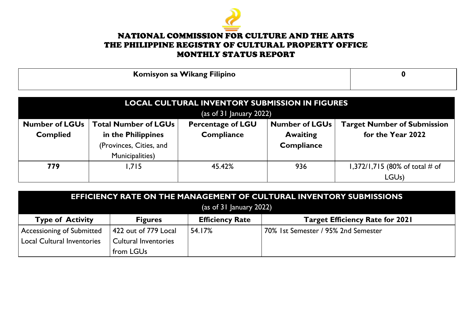

| Komisyon sa Wikang Filipino |  |
|-----------------------------|--|
|                             |  |

| <b>LOCAL CULTURAL INVENTORY SUBMISSION IN FIGURES</b> |                                                                                                                        |                   |                   |                                |  |
|-------------------------------------------------------|------------------------------------------------------------------------------------------------------------------------|-------------------|-------------------|--------------------------------|--|
|                                                       | $\sqrt{a}$ (as of 31 January 2022)                                                                                     |                   |                   |                                |  |
| <b>Number of LGUs</b>                                 | <b>Total Number of LGUs</b><br><b>Number of LGUs</b><br><b>Target Number of Submission</b><br><b>Percentage of LGU</b> |                   |                   |                                |  |
| <b>Complied</b>                                       | in the Philippines                                                                                                     | <b>Compliance</b> | <b>Awaiting</b>   | for the Year 2022              |  |
|                                                       | (Provinces, Cities, and                                                                                                |                   | <b>Compliance</b> |                                |  |
|                                                       | <b>Municipalities</b> )                                                                                                |                   |                   |                                |  |
| 779                                                   | .715                                                                                                                   | 45.42%            | 936               | 1,372/1,715 (80% of total # of |  |
|                                                       |                                                                                                                        |                   |                   | LGU <sub>s</sub> )             |  |

| EFFICIENCY RATE ON THE MANAGEMENT OF CULTURAL INVENTORY SUBMISSIONS<br>$\frac{1}{2}$ (as of 31 January 2022) |                             |                        |                                        |
|--------------------------------------------------------------------------------------------------------------|-----------------------------|------------------------|----------------------------------------|
| <b>Type of Activity</b>                                                                                      | <b>Figures</b>              | <b>Efficiency Rate</b> | <b>Target Efficiency Rate for 2021</b> |
| Accessioning of Submitted                                                                                    | 422 out of 779 Local        | 54.17%                 | 70% 1st Semester / 95% 2nd Semester    |
| <b>Local Cultural Inventories</b>                                                                            | <b>Cultural Inventories</b> |                        |                                        |
|                                                                                                              | from LGUs                   |                        |                                        |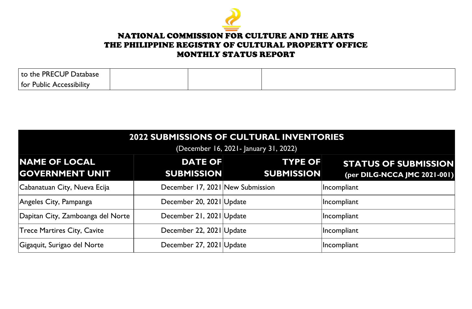

| UPP<br><b>PREC</b><br>'Jatabase'<br>I to the                     |  |  |
|------------------------------------------------------------------|--|--|
| $ $ for<br>$\cdot$<br>.<br><b>Public</b><br><b>Accessibility</b> |  |  |

| <b>2022 SUBMISSIONS OF CULTURAL INVENTORIES</b><br>(December 16, 2021 - January 31, 2022) |                                     |                                     |                                                             |  |
|-------------------------------------------------------------------------------------------|-------------------------------------|-------------------------------------|-------------------------------------------------------------|--|
| <b>NAME OF LOCAL</b><br><b>GOVERNMENT UNIT</b>                                            | <b>DATE OF</b><br><b>SUBMISSION</b> | <b>TYPE OF</b><br><b>SUBMISSION</b> | <b>STATUS OF SUBMISSION</b><br>(per DILG-NCCA JMC 2021-001) |  |
| Cabanatuan City, Nueva Ecija                                                              | December 17, 2021 New Submission    |                                     | Incompliant                                                 |  |
| Angeles City, Pampanga                                                                    | December 20, 2021 Update            |                                     | Incompliant                                                 |  |
| Dapitan City, Zamboanga del Norte                                                         | December 21, 2021 Update            |                                     | Incompliant                                                 |  |
| <b>Trece Martires City, Cavite</b>                                                        | December 22, 2021 Update            |                                     | Incompliant                                                 |  |
| Gigaquit, Surigao del Norte                                                               | December 27, 2021 Update            |                                     | Incompliant                                                 |  |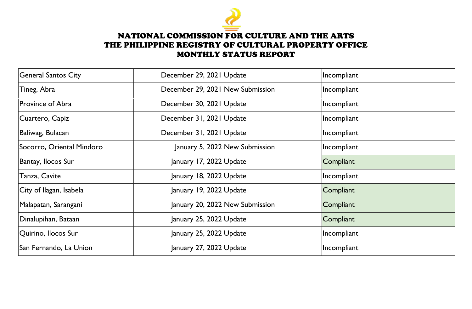

| <b>General Santos City</b> | December 29, 2021 Update         |                                 | Incompliant |
|----------------------------|----------------------------------|---------------------------------|-------------|
| Tineg, Abra                | December 29, 2021 New Submission |                                 | Incompliant |
| Province of Abra           | December 30, 2021 Update         |                                 | Incompliant |
| Cuartero, Capiz            | December 31, 2021 Update         |                                 | Incompliant |
| Baliwag, Bulacan           | December 31, 2021 Update         |                                 | Incompliant |
| Socorro, Oriental Mindoro  |                                  | January 5, 2022 New Submission  | Incompliant |
| Bantay, Ilocos Sur         | January 17, 2022 Update          |                                 | Compliant   |
| Tanza, Cavite              | January 18, 2022 Update          |                                 | Incompliant |
| City of Ilagan, Isabela    | January 19, 2022 Update          |                                 | Compliant   |
| Malapatan, Sarangani       |                                  | January 20, 2022 New Submission | Compliant   |
| Dinalupihan, Bataan        | January 25, 2022 Update          |                                 | Compliant   |
| Quirino, Ilocos Sur        | January 25, 2022 Update          |                                 | Incompliant |
| San Fernando, La Union     | January 27, 2022 Update          |                                 | Incompliant |